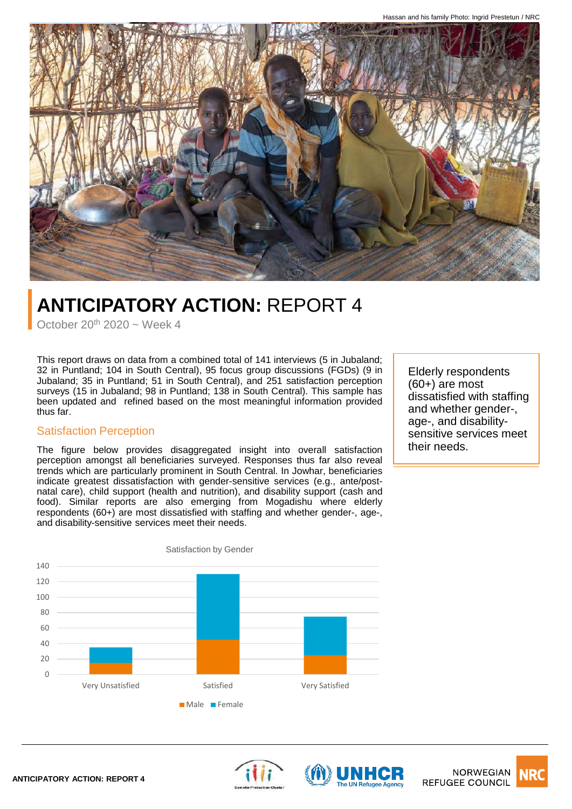

# **ANTICIPATORY ACTION:** REPORT 4

October  $20^{th}$  2020 ~ Week 4

This report draws on data from a combined total of 141 interviews (5 in Jubaland; 32 in Puntland; 104 in South Central), 95 focus group discussions (FGDs) (9 in Jubaland; 35 in Puntland; 51 in South Central), and 251 satisfaction perception surveys (15 in Jubaland; 98 in Puntland; 138 in South Central). This sample has been updated and refined based on the most meaningful information provided thus far.

#### Satisfaction Perception

The figure below provides disaggregated insight into overall satisfaction perception amongst all beneficiaries surveyed. Responses thus far also reveal trends which are particularly prominent in South Central. In Jowhar, beneficiaries indicate greatest dissatisfaction with gender-sensitive services (e.g., ante/postnatal care), child support (health and nutrition), and disability support (cash and food). Similar reports are also emerging from Mogadishu where elderly respondents (60+) are most dissatisfied with staffing and whether gender-, age-, and disability-sensitive services meet their needs.

Elderly respondents (60+) are most dissatisfied with staffing and whether gender-, age-, and disabilitysensitive services meet their needs.







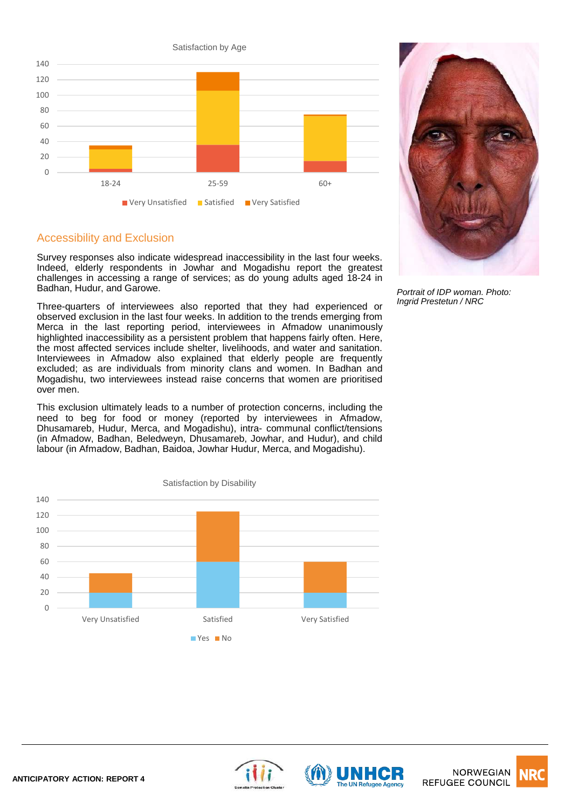



#### Accessibility and Exclusion

Survey responses also indicate widespread inaccessibility in the last four weeks. Indeed, elderly respondents in Jowhar and Mogadishu report the greatest challenges in accessing a range of services; as do young adults aged 18-24 in Badhan, Hudur, and Garowe.

Three-quarters of interviewees also reported that they had experienced or observed exclusion in the last four weeks. In addition to the trends emerging from Merca in the last reporting period, interviewees in Afmadow unanimously highlighted inaccessibility as a persistent problem that happens fairly often. Here, the most affected services include shelter, livelihoods, and water and sanitation. Interviewees in Afmadow also explained that elderly people are frequently excluded; as are individuals from minority clans and women. In Badhan and Mogadishu, two interviewees instead raise concerns that women are prioritised over men.

This exclusion ultimately leads to a number of protection concerns, including the need to beg for food or money (reported by interviewees in Afmadow, Dhusamareb, Hudur, Merca, and Mogadishu), intra- communal conflict/tensions (in Afmadow, Badhan, Beledweyn, Dhusamareb, Jowhar, and Hudur), and child labour (in Afmadow, Badhan, Baidoa, Jowhar Hudur, Merca, and Mogadishu).



*Portrait of IDP woman. Photo: Ingrid Prestetun / NRC*





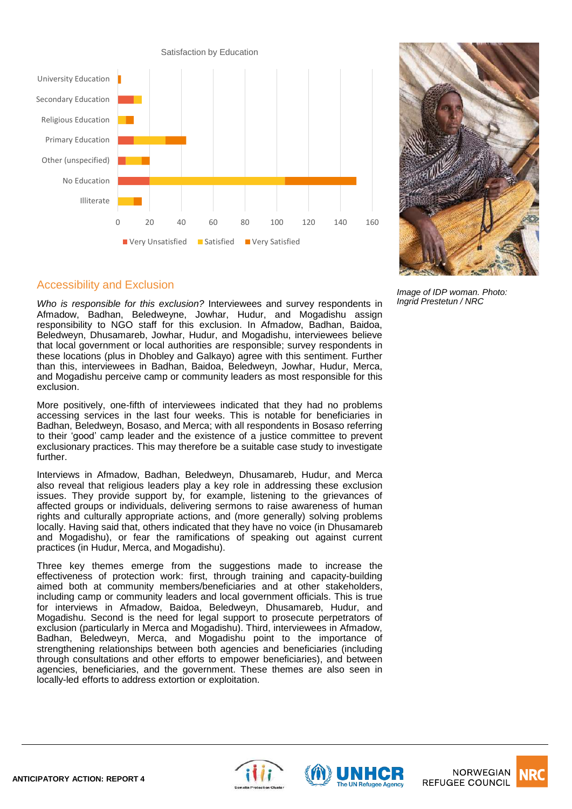



#### *Image of IDP woman. Photo: Ingrid Prestetun / NRC*

#### Accessibility and Exclusion

*Who is responsible for this exclusion?* Interviewees and survey respondents in Afmadow, Badhan, Beledweyne, Jowhar, Hudur, and Mogadishu assign responsibility to NGO staff for this exclusion. In Afmadow, Badhan, Baidoa, Beledweyn, Dhusamareb, Jowhar, Hudur, and Mogadishu, interviewees believe that local government or local authorities are responsible; survey respondents in these locations (plus in Dhobley and Galkayo) agree with this sentiment. Further than this, interviewees in Badhan, Baidoa, Beledweyn, Jowhar, Hudur, Merca, and Mogadishu perceive camp or community leaders as most responsible for this exclusion.

More positively, one-fifth of interviewees indicated that they had no problems accessing services in the last four weeks. This is notable for beneficiaries in Badhan, Beledweyn, Bosaso, and Merca; with all respondents in Bosaso referring to their 'good' camp leader and the existence of a justice committee to prevent exclusionary practices. This may therefore be a suitable case study to investigate further.

Interviews in Afmadow, Badhan, Beledweyn, Dhusamareb, Hudur, and Merca also reveal that religious leaders play a key role in addressing these exclusion issues. They provide support by, for example, listening to the grievances of affected groups or individuals, delivering sermons to raise awareness of human rights and culturally appropriate actions, and (more generally) solving problems locally. Having said that, others indicated that they have no voice (in Dhusamareb and Mogadishu), or fear the ramifications of speaking out against current practices (in Hudur, Merca, and Mogadishu).

Three key themes emerge from the suggestions made to increase the effectiveness of protection work: first, through training and capacity-building aimed both at community members/beneficiaries and at other stakeholders, including camp or community leaders and local government officials. This is true for interviews in Afmadow, Baidoa, Beledweyn, Dhusamareb, Hudur, and Mogadishu. Second is the need for legal support to prosecute perpetrators of exclusion (particularly in Merca and Mogadishu). Third, interviewees in Afmadow, Badhan, Beledweyn, Merca, and Mogadishu point to the importance of strengthening relationships between both agencies and beneficiaries (including through consultations and other efforts to empower beneficiaries), and between agencies, beneficiaries, and the government. These themes are also seen in locally-led efforts to address extortion or exploitation.







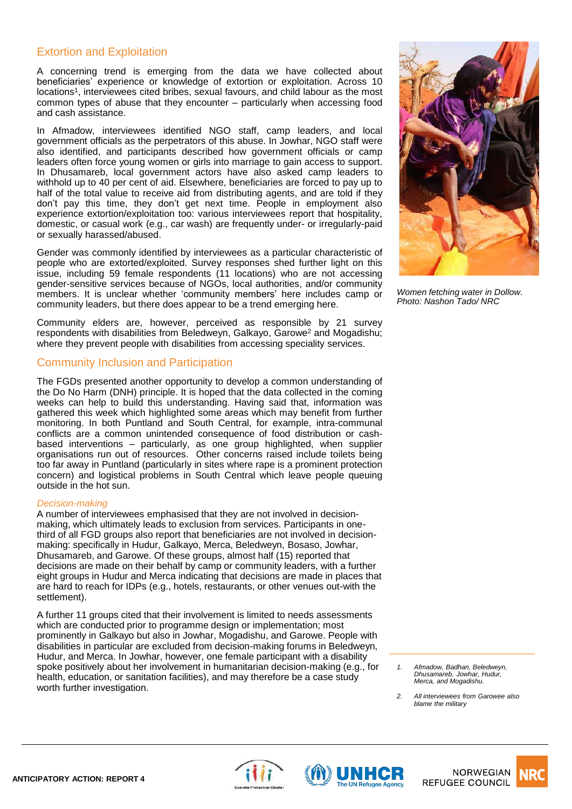### Extortion and Exploitation

A concerning trend is emerging from the data we have collected about beneficiaries' experience or knowledge of extortion or exploitation. Across 10 locations<sup>1</sup>, interviewees cited bribes, sexual favours, and child labour as the most common types of abuse that they encounter – particularly when accessing food and cash assistance.

In Afmadow, interviewees identified NGO staff, camp leaders, and local government officials as the perpetrators of this abuse. In Jowhar, NGO staff were also identified, and participants described how government officials or camp leaders often force young women or girls into marriage to gain access to support. In Dhusamareb, local government actors have also asked camp leaders to withhold up to 40 per cent of aid. Elsewhere, beneficiaries are forced to pay up to half of the total value to receive aid from distributing agents, and are told if they don't pay this time, they don't get next time. People in employment also experience extortion/exploitation too: various interviewees report that hospitality, domestic, or casual work (e.g., car wash) are frequently under- or irregularly-paid or sexually harassed/abused.

Gender was commonly identified by interviewees as a particular characteristic of people who are extorted/exploited. Survey responses shed further light on this issue, including 59 female respondents (11 locations) who are not accessing gender-sensitive services because of NGOs, local authorities, and/or community members. It is unclear whether 'community members' here includes camp or community leaders, but there does appear to be a trend emerging here.

Community elders are, however, perceived as responsible by 21 survey respondents with disabilities from Beledweyn, Galkayo, Garowe<sup>2</sup> and Mogadishu; where they prevent people with disabilities from accessing speciality services.

#### Community Inclusion and Participation

The FGDs presented another opportunity to develop a common understanding of the Do No Harm (DNH) principle. It is hoped that the data collected in the coming weeks can help to build this understanding. Having said that, information was gathered this week which highlighted some areas which may benefit from further monitoring. In both Puntland and South Central, for example, intra-communal conflicts are a common unintended consequence of food distribution or cashbased interventions – particularly, as one group highlighted, when supplier organisations run out of resources. Other concerns raised include toilets being too far away in Puntland (particularly in sites where rape is a prominent protection concern) and logistical problems in South Central which leave people queuing outside in the hot sun.

#### *Decision-making*

A number of interviewees emphasised that they are not involved in decisionmaking, which ultimately leads to exclusion from services. Participants in onethird of all FGD groups also report that beneficiaries are not involved in decisionmaking: specifically in Hudur, Galkayo, Merca, Beledweyn, Bosaso, Jowhar, Dhusamareb, and Garowe. Of these groups, almost half (15) reported that decisions are made on their behalf by camp or community leaders, with a further eight groups in Hudur and Merca indicating that decisions are made in places that are hard to reach for IDPs (e.g., hotels, restaurants, or other venues out-with the settlement).

A further 11 groups cited that their involvement is limited to needs assessments which are conducted prior to programme design or implementation; most prominently in Galkayo but also in Jowhar, Mogadishu, and Garowe. People with disabilities in particular are excluded from decision-making forums in Beledweyn, Hudur, and Merca. In Jowhar, however, one female participant with a disability spoke positively about her involvement in humanitarian decision-making (e.g., for health, education, or sanitation facilities), and may therefore be a case study worth further investigation.



*Women fetching water in Dollow. Photo: Nashon Tado/ NRC*

*1. Afmadow, Badhan, Beledweyn, Dhusamareb, Jowhar, Hudur, Merca, and Mogadishu.* 

*2. All interviewees from Garowee also blame the military*